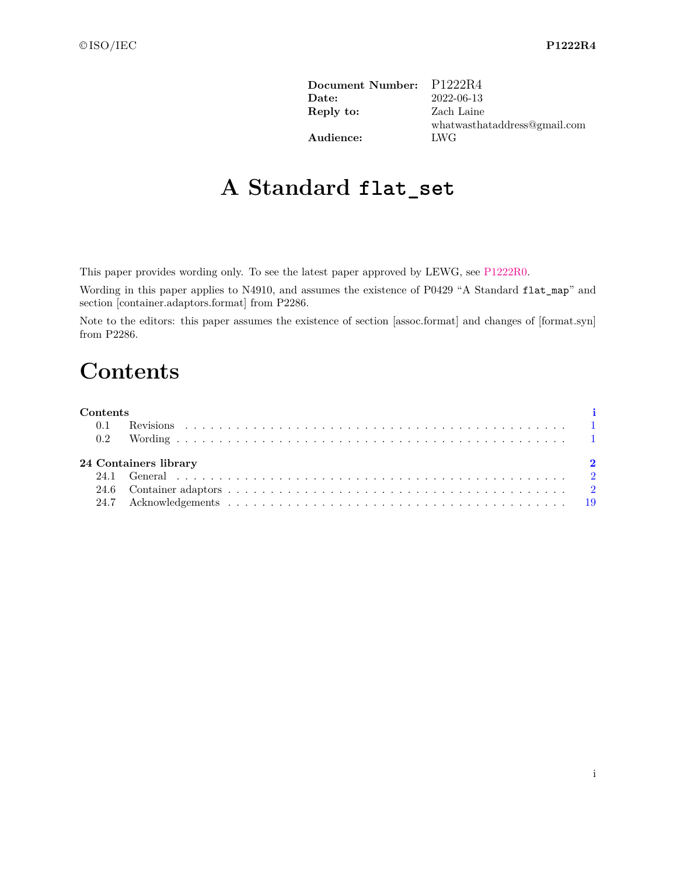| P1222R4                      |
|------------------------------|
| 2022-06-13                   |
| Zach Laine                   |
| whatwasthataddress@gmail.com |
| LWG                          |
|                              |

# **A Standard flat\_set**

This paper provides wording only. To see the latest paper approved by LEWG, see [P1222R0.](https://www.open-std.org/jtc1/sc22/wg21/docs/papers/2018/p1222r0.pdf)

Wording in this paper applies to N4910, and assumes the existence of P0429 "A Standard flat\_map" and section [container.adaptors.format] from P2286.

<span id="page-0-0"></span>Note to the editors: this paper assumes the existence of section [assoc.format] and changes of [format.syn] from P2286.

# **Contents**

| <b>Contents</b> |                       |  |
|-----------------|-----------------------|--|
|                 |                       |  |
|                 |                       |  |
|                 |                       |  |
|                 | 24 Containers library |  |
|                 |                       |  |
|                 |                       |  |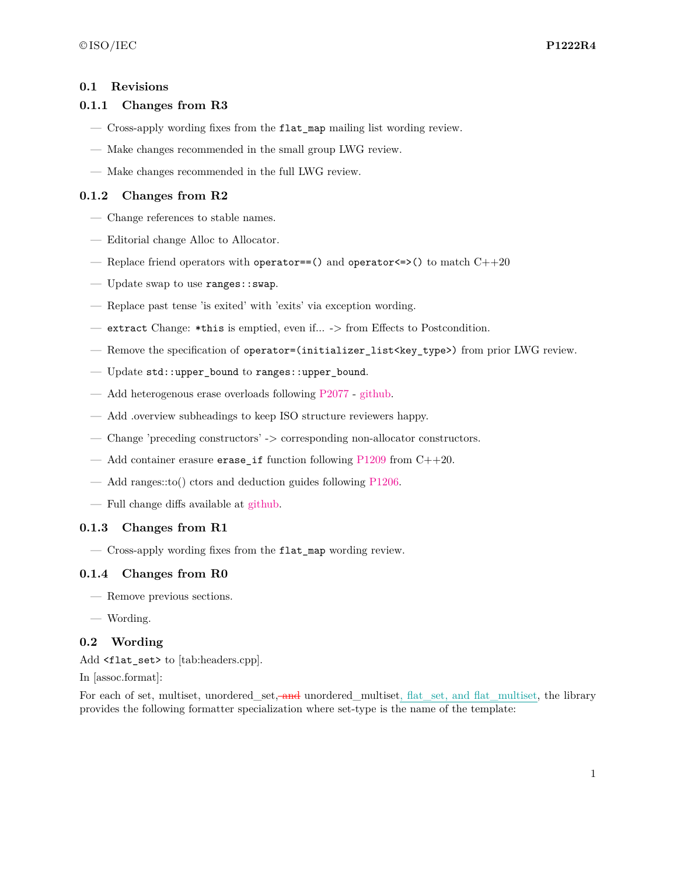### <span id="page-1-0"></span>**0.1 Revisions**

### **0.1.1 Changes from R3**

- Cross-apply wording fixes from the flat\_map mailing list wording review.
- Make changes recommended in the small group LWG review.
- Make changes recommended in the full LWG review.

### **0.1.2 Changes from R2**

- Change references to stable names.
- Editorial change Alloc to Allocator.
- Replace friend operators with operator==() and operator  $\le$  >() to match C++20
- Update swap to use ranges::swap.
- Replace past tense 'is exited' with 'exits' via exception wording.
- extract Change: \*this is emptied, even if... -> from Effects to Postcondition.
- Remove the specification of operator=(initializer list<key type>) from prior LWG review.
- Update std::upper\_bound to ranges::upper\_bound.
- Add heterogenous erase overloads following [P2077](https://wg21.link/P2077) [github.](https://github.com/tzlaine/flat_map/commit/a241df6b978479f0cc135ec567dbea4cd7407dd6)
- Add .overview subheadings to keep ISO structure reviewers happy.
- Change 'preceding constructors' -> corresponding non-allocator constructors.
- Add container erasure erase\_if function following  $P1209$  from  $C++20$ .
- Add ranges::to() ctors and deduction guides following [P1206.](https://wg21.link/P1206)
- Full change diffs available at [github.](https://github.com/tzlaine/flat_map/commits/flat_set)

### **0.1.3 Changes from R1**

— Cross-apply wording fixes from the flat\_map wording review.

### **0.1.4 Changes from R0**

- Remove previous sections.
- Wording.

### <span id="page-1-1"></span>**0.2 Wording**

Add <flat\_set> to [tab:headers.cpp].

In [assoc.format]:

For each of set, multiset, unordered\_set, and unordered\_multiset, flat\_set, and flat\_multiset, the library provides the following formatter specialization where set-type is the name of the template: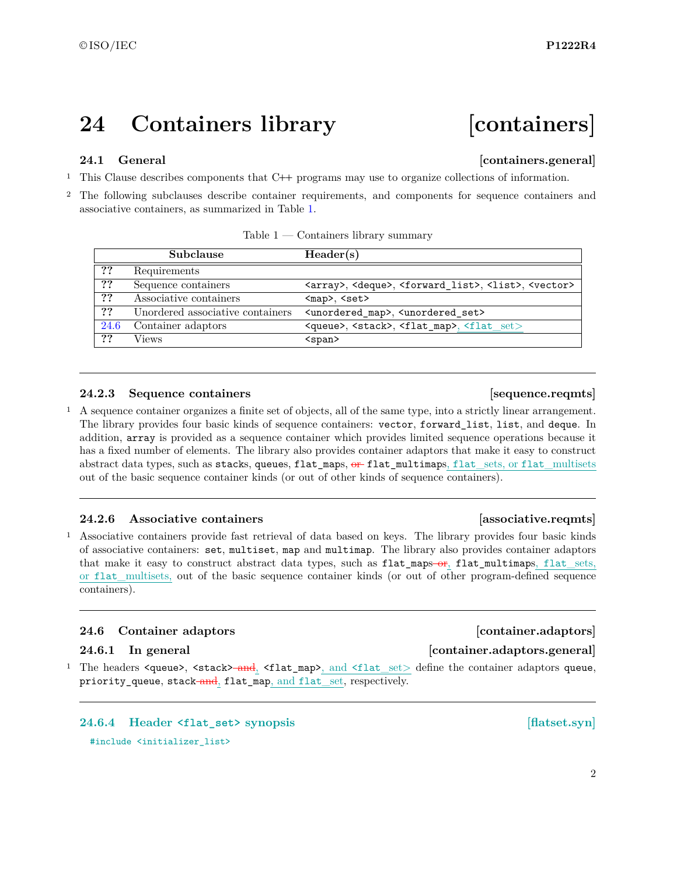# <span id="page-2-0"></span>**24 Containers library [containers]**

## <span id="page-2-1"></span>**24.1 General Containers.general**

<sup>1</sup> This Clause describes components that C**++** programs may use to organize collections of information.

<sup>2</sup> The following subclauses describe container requirements, and components for sequence containers and associative containers, as summarized in Table [1.](#page-2-3)

|      | Subclause                        | Header(s)                                                                                         |
|------|----------------------------------|---------------------------------------------------------------------------------------------------|
| ??   | Requirements                     |                                                                                                   |
| ??   | Sequence containers              | <array>, <deque>, <forward_list>, <list>, <vector></vector></list></forward_list></deque></array> |
| ??   | Associative containers           | $map$ , $set$                                                                                     |
| ??   | Unordered associative containers | <unordered_map>, <unordered_set></unordered_set></unordered_map>                                  |
| 24.6 | Container adaptors               | <queue>, <stack>, <flat_map>, <flat_set></flat_set></flat_map></stack></queue>                    |
| ??   | Views                            | $<$ span $>$                                                                                      |

<span id="page-2-3"></span>

| Table 1 | Containers library summary |  |
|---------|----------------------------|--|
|         |                            |  |

### **24.2.3 Sequence containers and intervals [36] [36] [36] [36] [36] [36] [36] [36] [36] [36] [36] [36] [36] [36] [36] [36] [36] [36] [36] [36] [36] [36] [36] [36] [36] [**

<sup>1</sup> A sequence container organizes a finite set of objects, all of the same type, into a strictly linear arrangement. The library provides four basic kinds of sequence containers: vector, forward\_list, list, and deque. In addition, array is provided as a sequence container which provides limited sequence operations because it has a fixed number of elements. The library also provides container adaptors that make it easy to construct abstract data types, such as stacks, queues, flat maps,  $\theta$  flat multimaps, flat sets, or flat multisets out of the basic sequence container kinds (or out of other kinds of sequence containers).

### **24.2.6 Associative containers [associative.reqmts]**

<sup>1</sup> Associative containers provide fast retrieval of data based on keys. The library provides four basic kinds of associative containers: set, multiset, map and multimap. The library also provides container adaptors that make it easy to construct abstract data types, such as flat\_maps-or, flat\_multimaps, flat\_sets, or flat\_multisets, out of the basic sequence container kinds (or out of other program-defined sequence containers).

### <span id="page-2-2"></span>**24.6 Container adaptors [container.adaptors]**

### **24.6.1 In general [container.adaptors.general]**

1 The headers <queue>, <stack> and, <flat\_map>, and <flat\_set> define the container adaptors queue, priority\_queue, stack-and, flat\_map, and flat\_set, respectively.

**24.6.4 Header <flat\_set> synopsis [flatset.syn]** #include <initializer\_list>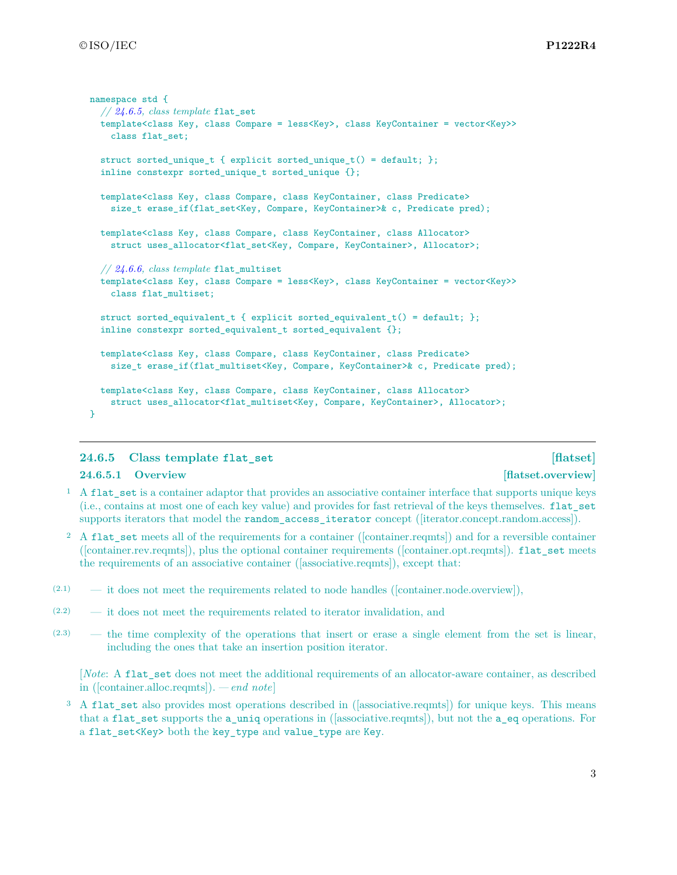```
namespace std {
  // 24.6.5, class template flat_set
  template<class Key, class Compare = less<Key>, class KeyContainer = vector<Key>>
   class flat_set;
  struct sorted unique t \{ explicit sorted unique t() = default; };
  inline constexpr sorted_unique_t sorted_unique {};
  template<class Key, class Compare, class KeyContainer, class Predicate>
    size_t erase_if(flat_set<Key, Compare, KeyContainer>& c, Predicate pred);
  template<class Key, class Compare, class KeyContainer, class Allocator>
    struct uses allocator<flat_set<Key, Compare, KeyContainer>, Allocator>;
  // 24.6.6, class template flat_multiset
  template<class Key, class Compare = less<Key>, class KeyContainer = vector<Key>>
   class flat_multiset;
  struct sorted equivalent t { explicit sorted equivalent t() = default; };
  inline constexpr sorted_equivalent_t sorted_equivalent {};
  template<class Key, class Compare, class KeyContainer, class Predicate>
    size_t erase_if(flat_multiset<Key, Compare, KeyContainer>& c, Predicate pred);
  template<class Key, class Compare, class KeyContainer, class Allocator>
    struct uses_allocator<flat_multiset<Key, Compare, KeyContainer>, Allocator>;
}
```
### <span id="page-3-0"></span>**24.6.5 Class template flat\_set [flatset]**

### **24.6.5.1 Overview [flatset.overview]**

- <sup>1</sup> A flat\_set is a container adaptor that provides an associative container interface that supports unique keys (i.e., contains at most one of each key value) and provides for fast retrieval of the keys themselves. flat\_set supports iterators that model the random\_access\_iterator concept ([iterator.concept.random.access]).
- <sup>2</sup> A flat set meets all of the requirements for a container ([container.reqmts]) and for a reversible container ([container.rev.reqmts]), plus the optional container requirements ([container.opt.reqmts]). flat\_set meets the requirements of an associative container ([associative.reqmts]), except that:
- $(2.1)$  it does not meet the requirements related to node handles ([container.node.overview]),
- (2.2) it does not meet the requirements related to iterator invalidation, and
- (2.3) the time complexity of the operations that insert or erase a single element from the set is linear, including the ones that take an insertion position iterator.

[*Note*: A flat\_set does not meet the additional requirements of an allocator-aware container, as described in ([container.alloc.reqmts]). *— end note*]

<sup>3</sup> A flat set also provides most operations described in ([associative.reqmts]) for unique keys. This means that a flat\_set supports the a\_uniq operations in ([associative.reqmts]), but not the a\_eq operations. For a flat set<Key> both the key type and value type are Key.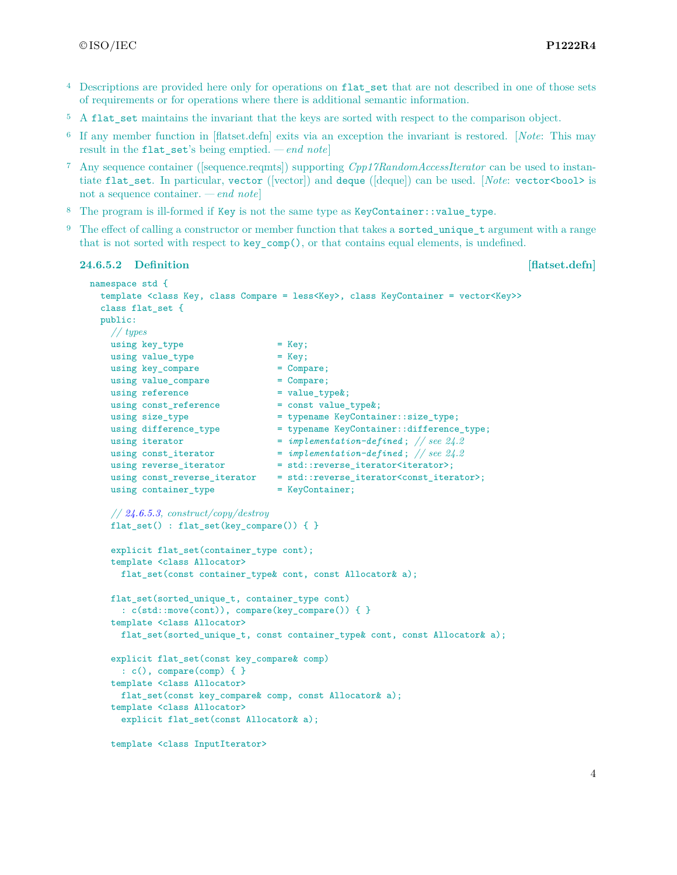- <sup>4</sup> Descriptions are provided here only for operations on flat set that are not described in one of those sets of requirements or for operations where there is additional semantic information.
- <sup>5</sup> A flat set maintains the invariant that the keys are sorted with respect to the comparison object.
- <sup>6</sup> If any member function in [flatset.defn] exits via an exception the invariant is restored. [*Note*: This may result in the flat\_set's being emptied. *— end note*]
- <sup>7</sup> Any sequence container ([sequence.reqmts]) supporting *Cpp17RandomAccessIterator* can be used to instantiate flat set. In particular, vector ([vector]) and deque ([deque]) can be used. [*Note*: vector<br/>bool> is not a sequence container. *— end note*]
- <sup>8</sup> The program is ill-formed if Key is not the same type as KeyContainer::value\_type.
- <sup>9</sup> The effect of calling a constructor or member function that takes a sorted unique t argument with a range that is not sorted with respect to key\_comp(), or that contains equal elements, is undefined.

### **24.6.5.2 Definition [flatset.defn] 1**

```
namespace std {
 template <class Key, class Compare = less<Key>, class KeyContainer = vector<Key>>
 class flat_set {
 public:
   // types
   using key_type = Key;
   using value_type = Key;
   using key_compare = Compare;
   using value_compare = Compare;
   using reference = value_type;
   using const_reference = const value_type&;
   using size_type = typename KeyContainer::size_type;
   using difference_type = typename KeyContainer::difference_type;
   using iterator = implementation-defined ; // see 24.2
   using const_iterator = implementation-defined ; // see 24.2
   using reverse_iterator = std::reverse\_iterator\times;using const_reverse_iterator = std::reverse_iterator<const_iterator>;
   using container type = KeyContainer;
   // 24.6.5.3, construct/copy/destroy
   flat_set() : flat_set(key_compare()) { }
   explicit flat_set(container_type cont);
   template <class Allocator>
     flat_set(const container_type& cont, const Allocator& a);
   flat_set(sorted_unique_t, container_type cont)
     : c(std::move(cont)), compare(key_compare()) { }
   template <class Allocator>
     flat_set(sorted_unique_t, const container_type& cont, const Allocator& a);
   explicit flat_set(const key_compare& comp)
     : c(), compare(comp) { }
   template <class Allocator>
     flat_set(const key_compare& comp, const Allocator& a);
   template <class Allocator>
     explicit flat_set(const Allocator& a);
   template <class InputIterator>
```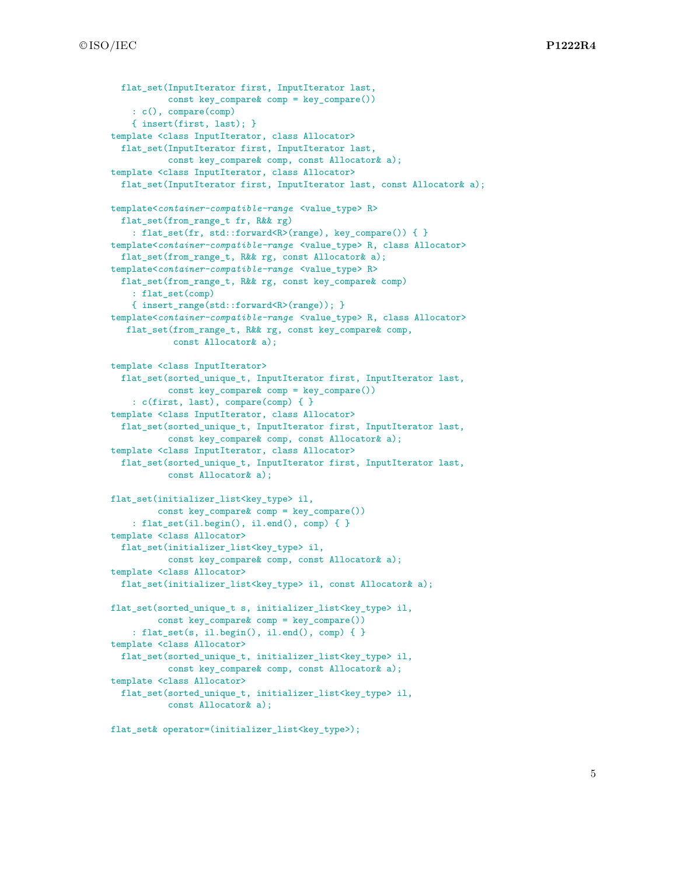```
flat set(InputIterator first, InputIterator last,
           const key_compare& comp = key_compare())
    : c(), compare(comp)
    { insert(first, last); }
template <class InputIterator, class Allocator>
  flat_set(InputIterator first, InputIterator last,
           const key_compare& comp, const Allocator& a);
template <class InputIterator, class Allocator>
 flat_set(InputIterator first, InputIterator last, const Allocator & a);
template<container-compatible-range <value_type> R>
  flat_set(from_range_t fr, R&& rg)
    : flat_set(fr, std::forward<R>(range), key_compare()) { }
template<container-compatible-range <value_type> R, class Allocator>
 flat_set(from_range_t, R&& rg, const Allocator& a);
template<container-compatible-range <value_type> R>
 flat_set(from_range_t, R&& rg, const key_compare& comp)
    : flat_set(comp)
    { insert_range(std::forward<R>(range)); }
template<container-compatible-range <value_type> R, class Allocator>
   flat_set(from_range_t, R&& rg, const key_compare& comp,
            const Allocator& a);
template <class InputIterator>
 flat_set(sorted_unique_t, InputIterator first, InputIterator last,
           const key_compare& comp = key_compare())
    : c(first, last), compare(comp) { }
template <class InputIterator, class Allocator>
  flat_set(sorted_unique_t, InputIterator first, InputIterator last,
           const key_compare& comp, const Allocator& a);
template <class InputIterator, class Allocator>
 flat_set(sorted_unique_t, InputIterator first, InputIterator last,
           const Allocator& a);
flat_set(initializer_list<key_type> il,
         const key_compare& comp = key_compare())
    : flat_set(il.begin(), il.end(), comp) { }
template <class Allocator>
 flat_set(initializer_list<key_type> il,
           const key_compare& comp, const Allocator& a);
template <class Allocator>
 flat_set(initializer_list<key_type> il, const Allocator& a);
flat_set(sorted_unique_t s, initializer_list<key_type> il,
         const key_compare& comp = key_compare())
    : flat_set(s, il.begin(), il.end(), comp) { }
template <class Allocator>
  flat_set(sorted_unique_t, initializer_list<key_type> il,
           const key_compare& comp, const Allocator& a);
template <class Allocator>
  flat_set(sorted_unique_t, initializer_list<key_type> il,
           const Allocator& a);
```
flat\_set& operator=(initializer\_list<key\_type>);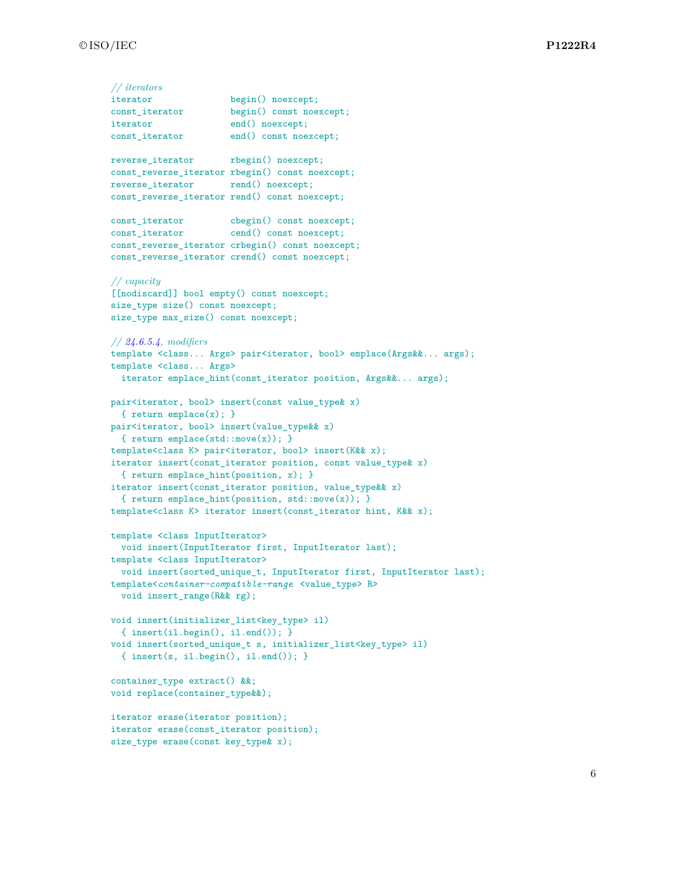```
// iterators
iterator begin() noexcept;
const_iterator begin() const noexcept;
iterator end() noexcept;
const_iterator end() const noexcept;
reverse_iterator rbegin() noexcept;
const_reverse_iterator rbegin() const noexcept;
reverse_iterator rend() noexcept;
const_reverse_iterator rend() const noexcept;
const_iterator cbegin() const noexcept;
const_iterator cend() const noexcept;
const_reverse_iterator crbegin() const noexcept;
const_reverse_iterator crend() const noexcept;
// capacity
[[nodiscard]] bool empty() const noexcept;
size_type size() const noexcept;
size_type max_size() const noexcept;
// 24.6.5.4, modifiers
template <class... Args> pair<iterator, bool> emplace(Args&&... args);
template <class... Args>
  iterator emplace_hint(const_iterator position, Args&&... args);
pair<iterator, bool> insert(const value_type& x)
  { return emplace(x); }
pair<iterator, bool> insert(value_type&& x)
 { return emplace(std::move(x)); }
template<class K> pair<iterator, bool> insert(K&& x);
iterator insert(const_iterator position, const value_type& x)
  { return emplace_hint(position, x); }
iterator insert(const_iterator position, value_type&& x)
  { return emplace_hint(position, std::move(x)); }
template<class K> iterator insert(const_iterator hint, K&& x);
template <class InputIterator>
  void insert(InputIterator first, InputIterator last);
template <class InputIterator>
  void insert(sorted_unique_t, InputIterator first, InputIterator last);
template<container-compatible-range <value_type> R>
  void insert_range(R&& rg);
void insert(initializer_list<key_type> il)
  { insert(il.begin(), il.end()); }
void insert(sorted_unique_t s, initializer_list<key_type> il)
  { insert(s, il.begin(), il.end()); }
container_type extract() &&;
void replace(container_type&&);
iterator erase(iterator position);
iterator erase(const_iterator position);
size_type erase(const key_type& x);
```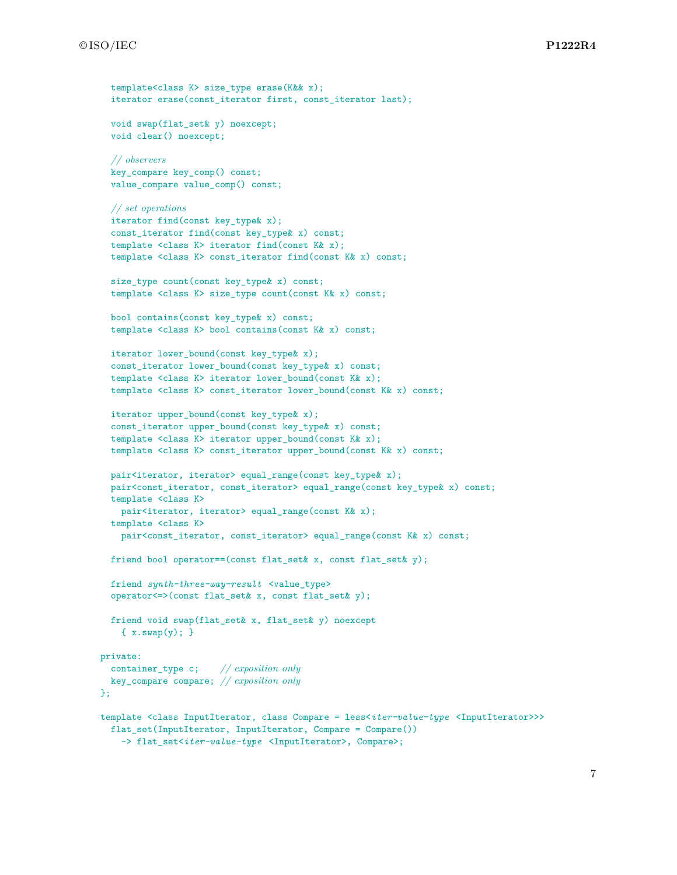```
template<class K> size type erase(K&& x);
 iterator erase(const_iterator first, const_iterator last);
 void swap(flat_set& y) noexcept;
 void clear() noexcept;
 // observers
 key_compare key_comp() const;
 value_compare value_comp() const;
  // set operations
 iterator find(const key_type& x);
  const_iterator find(const key_type& x) const;
  template <class K> iterator find(const K& x);
 template <class K> const_iterator find(const K& x) const;
 size_type count(const key_type& x) const;
 template <class K> size_type count(const K& x) const;
 bool contains(const key_type& x) const;
 template <class K> bool contains(const K& x) const;
 iterator lower_bound(const key_type& x);
 const_iterator lower_bound(const key_type& x) const;
 template <class K> iterator lower_bound(const K& x);
  template <class K> const_iterator lower_bound(const K& x) const;
 iterator upper_bound(const key_type& x);
 const_iterator upper_bound(const key_type& x) const;
  template <class K> iterator upper_bound(const K& x);
 template <class K> const_iterator upper_bound(const K& x) const;
 pair<iterator, iterator> equal_range(const key_type& x);
 pair<const_iterator, const_iterator> equal_range(const key_type& x) const;
 template <class K>
   pair<iterator, iterator> equal_range(const K& x);
 template <class K>
   pair<const_iterator, const_iterator> equal_range(const K& x) const;
  friend bool operator==(const flat_set& x, const flat_set& y);
 friend synth-three-way-result <value_type>
 operator<=>(const flat_set& x, const flat_set& y);
 friend void swap(flat_set& x, flat_set& y) noexcept
    { x.swap(y); }
private:
 container_type c; // exposition only
 key_compare compare; // exposition only
};
template <class InputIterator, class Compare = less<iter-value-type <InputIterator>>>
 flat_set(InputIterator, InputIterator, Compare = Compare())
    -> flat_set<iter-value-type <InputIterator>, Compare>;
```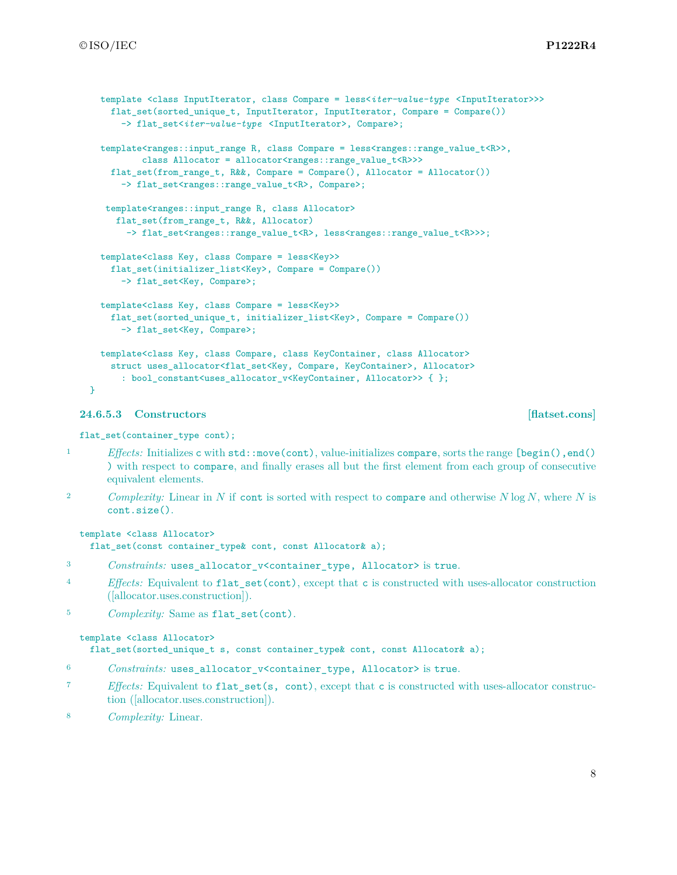```
template <class InputIterator, class Compare = less<iter-value-type <InputIterator>>>
    flat_set(sorted_unique_t, InputIterator, InputIterator, Compare = Compare())
      -> flat_set<iter-value-type <InputIterator>, Compare>;
  template<ranges::input_range R, class Compare = less<ranges::range_value_t<R>>,
          class Allocator = allocator<ranges::range_value_t<R>>>>
    flat_set(from_range_t, R&&, Compare = Compare(), Allocator = Allocator())
      -> flat_set<ranges::range_value_t<R>, Compare>;
   template<ranges::input_range R, class Allocator>
     flat_set(from_range_t, R&&, Allocator)
       -> flat_set<ranges::range_value_t<R>>; less<ranges::range_value_t<R>>>;
 template<class Key, class Compare = less<Key>>
    flat_set(initializer_list<Key>, Compare = Compare())
      -> flat_set<Key, Compare>;
  template<class Key, class Compare = less<Key>>
    flat set(sorted_unique_t, initializer_list<Key>, Compare = Compare())
      -> flat_set<Key, Compare>;
 template<class Key, class Compare, class KeyContainer, class Allocator>
    struct uses_allocator<flat_set<Key, Compare, KeyContainer>, Allocator>
      : bool_constant<uses_allocator_v<KeyContainer, Allocator>> { };
}
```
### <span id="page-8-0"></span>**24.6.5.3 Constructors [flatset.cons]**

flat set(container type cont);

- 1 *Effects:* Initializes c with std::move(cont), value-initializes compare, sorts the range [begin(), end() ) with respect to compare, and finally erases all but the first element from each group of consecutive equivalent elements.
- <sup>2</sup> *Complexity:* Linear in *N* if cont is sorted with respect to compare and otherwise *N* log *N*, where *N* is cont.size().

```
template <class Allocator>
  flat_set(const container_type& cont, const Allocator& a);
```
- <sup>3</sup> *Constraints:* uses\_allocator\_v<container\_type, Allocator> is true.
- <sup>4</sup> *Effects:* Equivalent to flat\_set(cont), except that c is constructed with uses-allocator construction ([allocator.uses.construction]).
- <sup>5</sup> *Complexity:* Same as flat\_set(cont).

### template <class Allocator>

flat\_set(sorted\_unique\_t s, const container\_type& cont, const Allocator& a);

- <sup>6</sup> *Constraints:* uses\_allocator\_v<container\_type, Allocator> is true.
- <sup>7</sup> *Effects:* Equivalent to flat\_set(s, cont), except that c is constructed with uses-allocator construction ([allocator.uses.construction]).
- <sup>8</sup> *Complexity:* Linear.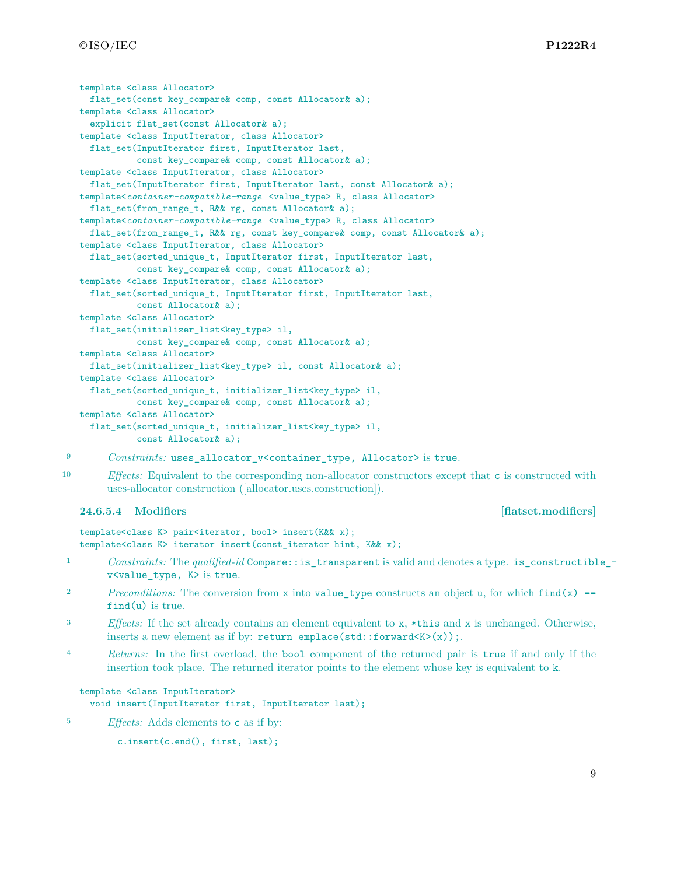```
template <class Allocator>
 flat_set(const key_compare& comp, const Allocator& a);
template <class Allocator>
 explicit flat_set(const Allocator& a);
template <class InputIterator, class Allocator>
 flat_set(InputIterator first, InputIterator last,
           const key_compare& comp, const Allocator& a);
template <class InputIterator, class Allocator>
 flat_set(InputIterator first, InputIterator last, const Allocator& a);
template<container-compatible-range <value_type> R, class Allocator>
 flat_set(from_range_t, R&& rg, const Allocator& a);
template<container-compatible-range <value_type> R, class Allocator>
 flat_set(from_range_t, R&& rg, const key_compare& comp, const Allocator& a);
template <class InputIterator, class Allocator>
 flat_set(sorted_unique_t, InputIterator first, InputIterator last,
           const key_compare& comp, const Allocator& a);
template <class InputIterator, class Allocator>
 flat_set(sorted_unique_t, InputIterator first, InputIterator last,
          const Allocator& a);
template <class Allocator>
 flat_set(initializer_list<key_type> il,
           const key_compare& comp, const Allocator& a);
template <class Allocator>
 flat_set(initializer_list<key_type> il, const Allocator& a);
template <class Allocator>
  flat_set(sorted_unique_t, initializer_list<key_type> il,
           const key_compare& comp, const Allocator& a);
template <class Allocator>
  flat_set(sorted_unique_t, initializer_list<key_type> il,
           const Allocator& a);
```
<sup>9</sup> *Constraints:* uses\_allocator\_v<container\_type, Allocator> is true.

<sup>10</sup> *Effects:* Equivalent to the corresponding non-allocator constructors except that c is constructed with uses-allocator construction ([allocator.uses.construction]).

### <span id="page-9-0"></span>**24.6.5.4 Modifiers [flatset.modifiers]**

```
template<class K> pair<iterator, bool> insert(K&& x);
template<class K> iterator insert(const_iterator hint, K&& x);
```
- <sup>1</sup> *Constraints:* The *qualified-id* Compare::is\_transparent is valid and denotes a type. is\_constructible\_ v<value\_type, K> is true.
- <sup>2</sup> *Preconditions:* The conversion from **x** into **value\_type** constructs an object **u**, for which  $\text{find}(x)$  = find(u) is true.
- <sup>3</sup> *Effects:* If the set already contains an element equivalent to x, \*this and x is unchanged. Otherwise, inserts a new element as if by: return emplace(std::forward<K>(x));.
- <sup>4</sup> *Returns:* In the first overload, the bool component of the returned pair is true if and only if the insertion took place. The returned iterator points to the element whose key is equivalent to k.

```
template <class InputIterator>
  void insert(InputIterator first, InputIterator last);
```
<sup>5</sup> *Effects:* Adds elements to c as if by:

```
c.insert(c.end(), first, last);
```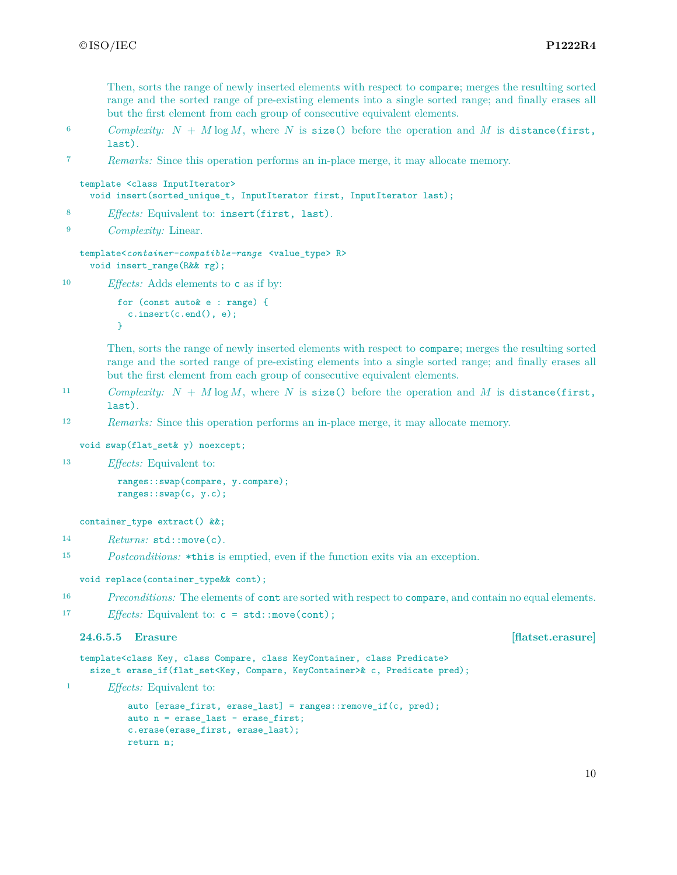Then, sorts the range of newly inserted elements with respect to compare; merges the resulting sorted range and the sorted range of pre-existing elements into a single sorted range; and finally erases all but the first element from each group of consecutive equivalent elements.

- 6 *Complexity:*  $N + M \log M$ , where  $N$  is size() before the operation and  $M$  is distance(first, last).
- <sup>7</sup> *Remarks:* Since this operation performs an in-place merge, it may allocate memory.

```
template <class InputIterator>
  void insert(sorted_unique_t, InputIterator first, InputIterator last);
```

```
8 Effects: Equivalent to: insert(first, last).
```
<sup>9</sup> *Complexity:* Linear.

```
template<container-compatible-range <value_type> R>
  void insert_range(R&& rg);
```

```
10 Effects: Adds elements to c as if by:
```

```
for (const auto& e : range) {
 c.insert(c.end(), e);
}
```
Then, sorts the range of newly inserted elements with respect to compare; merges the resulting sorted range and the sorted range of pre-existing elements into a single sorted range; and finally erases all but the first element from each group of consecutive equivalent elements.

- 11 *Complexity:*  $N + M \log M$ , where  $N$  is size() before the operation and  $M$  is distance(first, last).
- <sup>12</sup> *Remarks:* Since this operation performs an in-place merge, it may allocate memory.

```
void swap(flat_set& y) noexcept;
```

```
13 Effects: Equivalent to:
```
ranges::swap(compare, y.compare); ranges::swap(c, y.c);

```
container_type extract() &&;
```

```
14 Returns: std::move(c).
```
<sup>15</sup> *Postconditions:* \*this is emptied, even if the function exits via an exception.

void replace(container\_type&& cont);

<sup>16</sup> *Preconditions:* The elements of cont are sorted with respect to compare, and contain no equal elements.

17 *Effects:* Equivalent to:  $c = std:move (cont);$ 

### **24.6.5.5 Erasure [flatset.erasure]**

```
template<class Key, class Compare, class KeyContainer, class Predicate>
  size_t erase_if(flat_set<Key, Compare, KeyContainer>& c, Predicate pred);
```
<sup>1</sup> *Effects:* Equivalent to:

```
auto [erase_first, erase_last] = ranges::remove_if(c, pred);
auto n = erase_last - erase_first;
c.erase(erase_first, erase_last);
return n;
```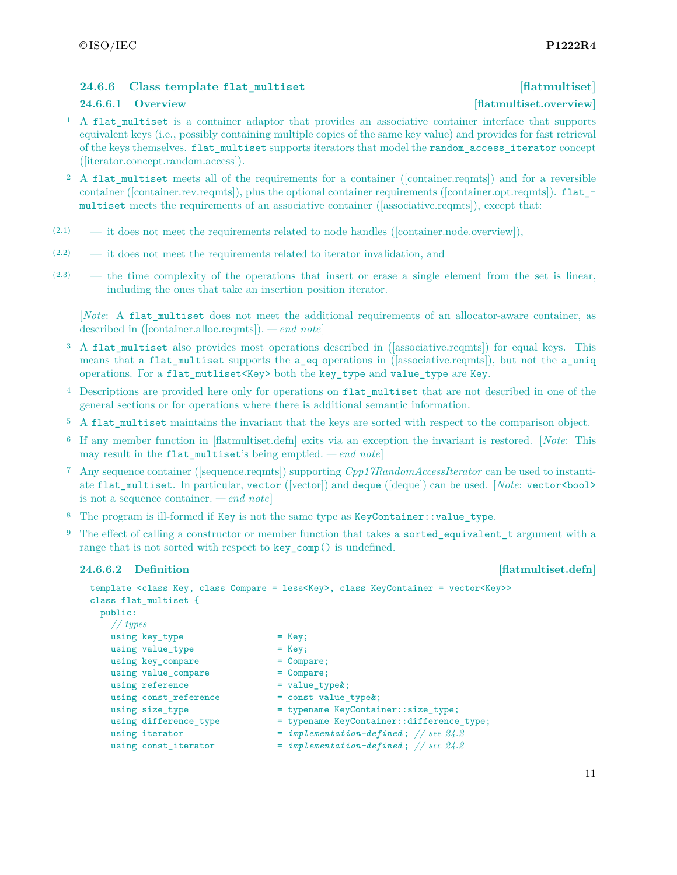## <span id="page-11-0"></span>**24.6.6 Class template flat\_multiset [flatmultiset]**

### **24.6.6.1 Overview [flatmultiset.overview]**

- <sup>1</sup> A flat\_multiset is a container adaptor that provides an associative container interface that supports equivalent keys (i.e., possibly containing multiple copies of the same key value) and provides for fast retrieval of the keys themselves. flat\_multiset supports iterators that model the random\_access\_iterator concept ([iterator.concept.random.access]).
- <sup>2</sup> A flat multiset meets all of the requirements for a container ([container.reqmts]) and for a reversible container ([container.rev.reqmts]), plus the optional container requirements ([container.opt.reqmts]). flat\_ multiset meets the requirements of an associative container ([associative.reqmts]), except that:
- $(2.1)$  it does not meet the requirements related to node handles ([container.node.overview]),
- (2.2) it does not meet the requirements related to iterator invalidation, and
- (2.3) the time complexity of the operations that insert or erase a single element from the set is linear, including the ones that take an insertion position iterator.

[*Note*: A flat\_multiset does not meet the additional requirements of an allocator-aware container, as described in ([container.alloc.reqmts]). *— end note*]

- <sup>3</sup> A flat multiset also provides most operations described in ([associative.reqmts]) for equal keys. This means that a flat\_multiset supports the a\_eq operations in ([associative.reqmts]), but not the a\_uniq operations. For a flat\_mutliset<Key> both the key\_type and value\_type are Key.
- <sup>4</sup> Descriptions are provided here only for operations on flat\_multiset that are not described in one of the general sections or for operations where there is additional semantic information.
- <sup>5</sup> A flat multiset maintains the invariant that the keys are sorted with respect to the comparison object.
- <sup>6</sup> If any member function in [flatmultiset.defn] exits via an exception the invariant is restored. [*Note*: This may result in the flat multiset's being emptied. *— end note*]
- <sup>7</sup> Any sequence container ([sequence.reqmts]) supporting *Cpp17RandomAccessIterator* can be used to instantiate flat\_multiset. In particular, vector ([vector]) and deque ([deque]) can be used. [*Note*: vector<br/>bool> is not a sequence container. *— end note*]
- <sup>8</sup> The program is ill-formed if Key is not the same type as KeyContainer::value\_type.
- <sup>9</sup> The effect of calling a constructor or member function that takes a sorted\_equivalent\_t argument with a range that is not sorted with respect to key\_comp() is undefined.

### **24.6.6.2** Definition **[flatmultiset.defn]**

```
template <class Key, class Compare = less<Key>, class KeyContainer = vector<Key>>
class flat_multiset {
 public:
   // types
   using key_type = Key;
   using value_type = Key;
   using key_compare = Compare;
   using value_compare = Compare;
   using reference = value_type;
   using const_reference = const value_type&;<br>using size_type = typename KeyContai:
                              = typename KeyContainer::size_type;
   using difference_type = typename KeyContainer::difference_type;
   using iterator = implementation-defined; // see 24.2
   using const_iterator = implementation-defined; // see 24.2
```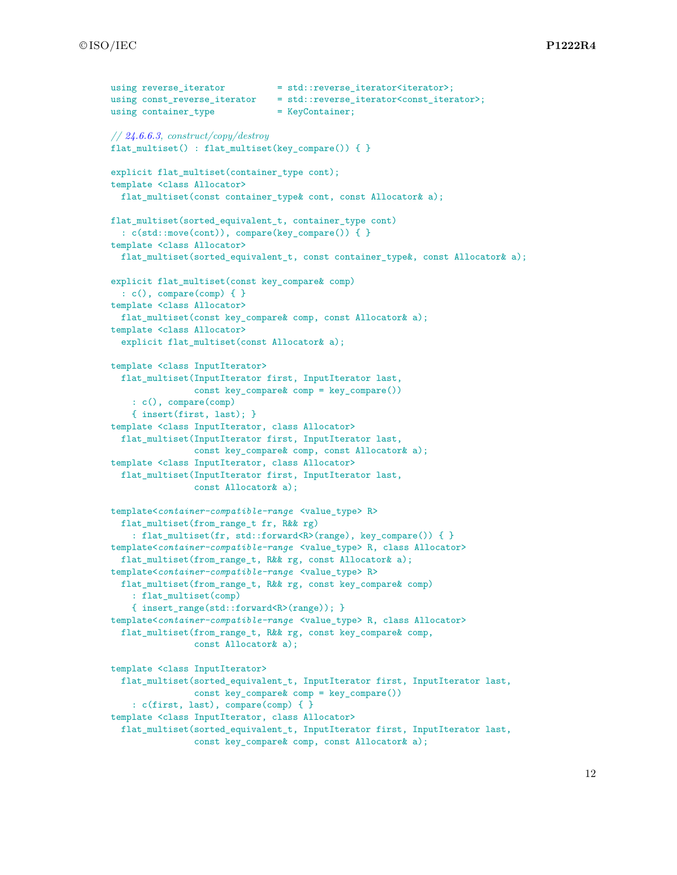```
using reverse iterator = std::reverse iterator<iterator>;
using const_reverse_iterator = std::reverse_iterator<const_iterator>;
using container_type = KeyContainer;
// 24.6.6.3, construct/copy/destroy
flat multiset() : flat multiset(key compare()) { }
explicit flat_multiset(container_type cont);
template <class Allocator>
 flat_multiset(const container_type& cont, const Allocator& a);
flat_multiset(sorted_equivalent_t, container_type cont)
  : c(std::move(cont)), compare(key_compare()) { }
template <class Allocator>
 flat multiset(sorted_equivalent_t, const container_type&, const Allocator& a);
explicit flat_multiset(const key_compare& comp)
  : c(), compare(comp) { }
template <class Allocator>
 flat_multiset(const key_compare& comp, const Allocator& a);
template <class Allocator>
 explicit flat_multiset(const Allocator& a);
template <class InputIterator>
 flat_multiset(InputIterator first, InputIterator last,
                const key_compare& comp = key_compare())
    : c(), compare(comp)
    { insert(first, last); }
template <class InputIterator, class Allocator>
  flat_multiset(InputIterator first, InputIterator last,
                const key_compare& comp, const Allocator& a);
template <class InputIterator, class Allocator>
  flat_multiset(InputIterator first, InputIterator last,
                const Allocator& a);
template<container-compatible-range <value_type> R>
  flat_multiset(from_range_t fr, R&& rg)
    : flat_multiset(fr, std::forward<R>(range), key_compare()) { }
template<container-compatible-range <value_type> R, class Allocator>
 flat_multiset(from_range_t, R&& rg, const Allocator& a);
template<container-compatible-range <value_type> R>
 flat_multiset(from_range_t, R&& rg, const key_compare& comp)
    : flat_multiset(comp)
    { insert_range(std::forward<R>(range)); }
template<container-compatible-range <value_type> R, class Allocator>
  flat_multiset(from_range_t, R&& rg, const key_compare& comp,
                const Allocator& a);
template <class InputIterator>
 flat_multiset(sorted_equivalent_t, InputIterator first, InputIterator last,
                const key_compare& comp = key_compare())
    : c(first, last), compare(comp) { }
template <class InputIterator, class Allocator>
  flat_multiset(sorted_equivalent_t, InputIterator first, InputIterator last,
                const key compare& comp, const Allocator& a);
```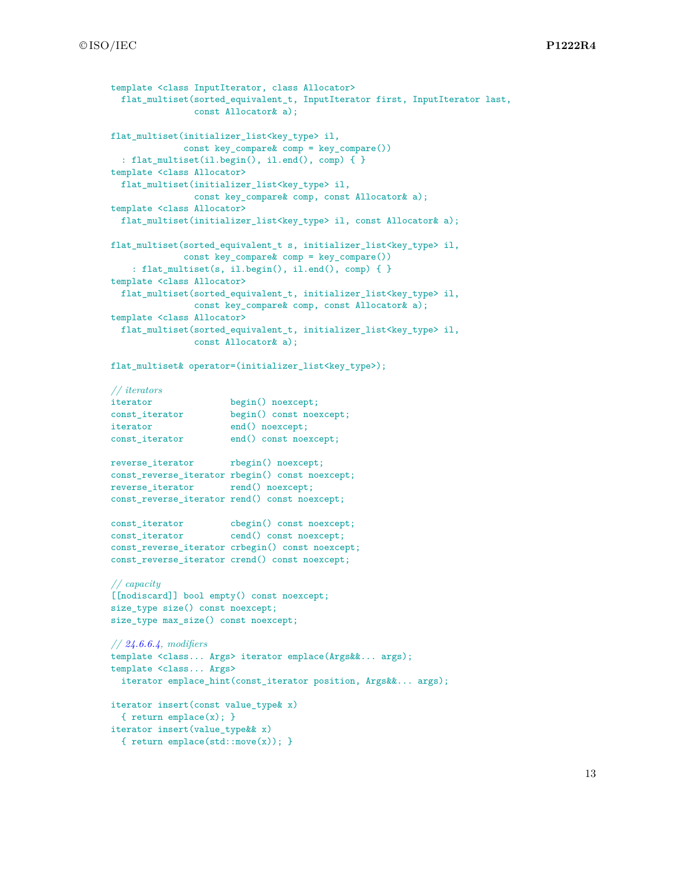```
template <class InputIterator, class Allocator>
  flat_multiset(sorted_equivalent_t, InputIterator first, InputIterator last,
               const Allocator& a);
flat_multiset(initializer_list<key_type> il,
             const key_compare& comp = key_compare())
  : flat_multiset(il.begin(), il.end(), comp) \{ \}template <class Allocator>
  flat_multiset(initializer_list<key_type> il,
               const key_compare& comp, const Allocator& a);
template <class Allocator>
  flat_multiset(initializer_list<key_type> il, const Allocator& a);
flat_multiset(sorted_equivalent_t s, initializer_list<key_type> il,
             const key_compare& comp = key_compare())
    : flat_multiset(s, il.begin(), il.end(), comp) { }
template <class Allocator>
 flat_multiset(sorted_equivalent_t, initializer_list<key_type> il,
               const key_compare& comp, const Allocator& a);
template <class Allocator>
  flat_multiset(sorted_equivalent_t, initializer_list<key_type> il,
               const Allocator& a);
flat_multiset& operator=(initializer_list<key_type>);
// iterators
iterator begin() noexcept;
const_iterator begin() const noexcept;
iterator end() noexcept;
const_iterator end() const noexcept;
reverse_iterator rbegin() noexcept;
const_reverse_iterator rbegin() const noexcept;
reverse_iterator rend() noexcept;
const_reverse_iterator rend() const noexcept;
const_iterator cbegin() const noexcept;
const_iterator cend() const noexcept;
const_reverse_iterator crbegin() const noexcept;
const_reverse_iterator crend() const noexcept;
// capacity
[[nodiscard]] bool empty() const noexcept;
size_type size() const noexcept;
size_type max_size() const noexcept;
// 24.6.6.4, modifiers
template <class... Args> iterator emplace(Args&&... args);
template <class... Args>
  iterator emplace_hint(const_iterator position, Args&&... args);
iterator insert(const value_type& x)
  { return emplace(x); }
iterator insert(value_type&& x)
  { return emplace(std::move(x)); }
```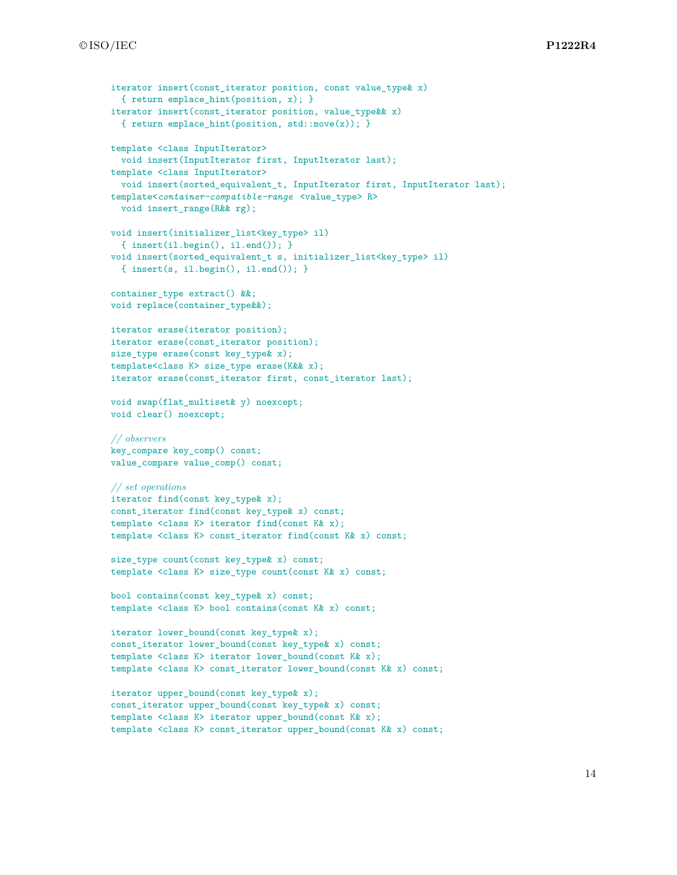```
iterator insert(const iterator position, const value type x)
  { return emplace_hint(position, x); }
iterator insert(const_iterator position, value_type&& x)
  { return emplace_hint(position, std::move(x)); }
template <class InputIterator>
  void insert(InputIterator first, InputIterator last);
template <class InputIterator>
  void insert(sorted_equivalent_t, InputIterator first, InputIterator last);
template<container-compatible-range <value_type> R>
  void insert_range(R&& rg);
void insert(initializer_list<key_type> il)
  { insert(i1.begin(), i1.end()); }
void insert(sorted_equivalent_t s, initializer_list<key_type> il)
  { insert(s, il.begin(), il.end()); }
container_type extract() &&;
void replace(container_type&&);
iterator erase(iterator position);
iterator erase(const_iterator position);
size_type erase(const key_type& x);
template<class K> size_type erase(K&& x);
iterator erase(const_iterator first, const_iterator last);
void swap(flat_multiset& y) noexcept;
void clear() noexcept;
// observers
key_compare key_comp() const;
value_compare value_comp() const;
// set operations
iterator find(const key_type& x);
const_iterator find(const key_type& x) const;
template <class K> iterator find(const K& x);
template <class K> const_iterator find(const K& x) const;
size_type count(const key_type& x) const;
template <class K> size_type count(const K& x) const;
bool contains(const key_type& x) const;
template <class K> bool contains(const K& x) const;
iterator lower_bound(const key_type& x);
const_iterator lower_bound(const key_type& x) const;
template <class K> iterator lower_bound(const K& x);
template <class K> const_iterator lower_bound(const K& x) const;
iterator upper_bound(const key_type& x);
const_iterator upper_bound(const key_type& x) const;
template <class K> iterator upper_bound(const K& x);
```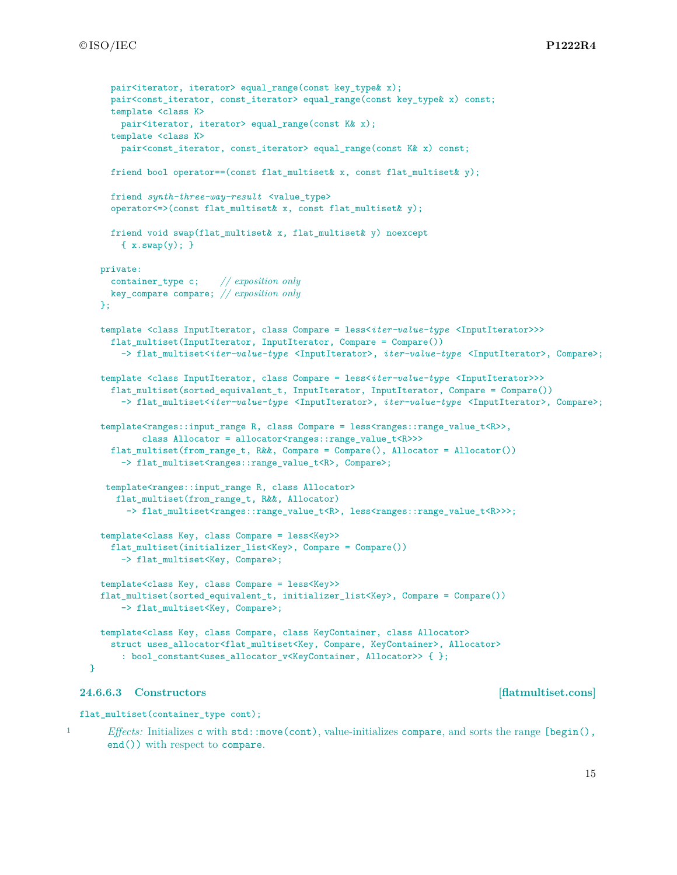```
pair<iterator, iterator> equal range(const key type& x);
    pair<const_iterator, const_iterator> equal_range(const key_type& x) const;
    template <class K>
     pair<iterator, iterator> equal_range(const K& x);
    template <class K>
      pair<const iterator, const iterator> equal range(const K& x) const;
    friend bool operator==(const flat_multiset& x, const flat_multiset& y);
    friend synth-three-way-result <value_type>
    operator \leq \geq (const flat multiset x, const flat multiset x);
    friend void swap(flat_multiset& x, flat_multiset& y) noexcept
      \{ x.sum(y); \}private:
    container_type c; // exposition only
   key_compare compare; // exposition only
  \mathcal{F}:
  template <class InputIterator, class Compare = less<iter-value-type <InputIterator>>>
    flat_multiset(InputIterator, InputIterator, Compare = Compare())
      -> flat_multiset<iter-value-type <InputIterator>, iter-value-type <InputIterator>, Compare>;
  template <class InputIterator, class Compare = less<iter-value-type <InputIterator>>>
    flat_multiset(sorted_equivalent_t, InputIterator, InputIterator, Compare = Compare())
      -> flat_multiset<iter-value-type <InputIterator>, iter-value-type <InputIterator>, Compare>;
  template<ranges::input_range R, class Compare = less<ranges::range_value_t<R>>,
          class Allocator = allocator<ranges::range_value_t<R>>>
    flat_multiset(from_range_t, R&&, Compare = Compare(), Allocator = Allocator())
      -> flat_multiset<ranges::range_value_t<R>, Compare>;
   template<ranges::input_range R, class Allocator>
     flat_multiset(from_range_t, R&&, Allocator)
       -> flat_multiset<ranges::range_value_t<R>>; less<ranges::range_value_t<R>>>;
  template<class Key, class Compare = less<Key>>
    flat_multiset(initializer_list<Key>, Compare = Compare())
      -> flat_multiset<Key, Compare>;
  template<class Key, class Compare = less<Key>>
  flat_multiset(sorted_equivalent_t, initializer_list<Key>, Compare = Compare())
      -> flat_multiset<Key, Compare>;
  template<class Key, class Compare, class KeyContainer, class Allocator>
    struct uses_allocator<flat_multiset<Key, Compare, KeyContainer>, Allocator>
      : bool_constant<uses_allocator_v<KeyContainer, Allocator>> { };
}
```
### <span id="page-15-0"></span>**24.6.6.3 Constructors [flatmultiset.cons]**

flat\_multiset(container\_type cont);

1 *Effects:* Initializes c with std::move(cont), value-initializes compare, and sorts the range [begin(), end()) with respect to compare.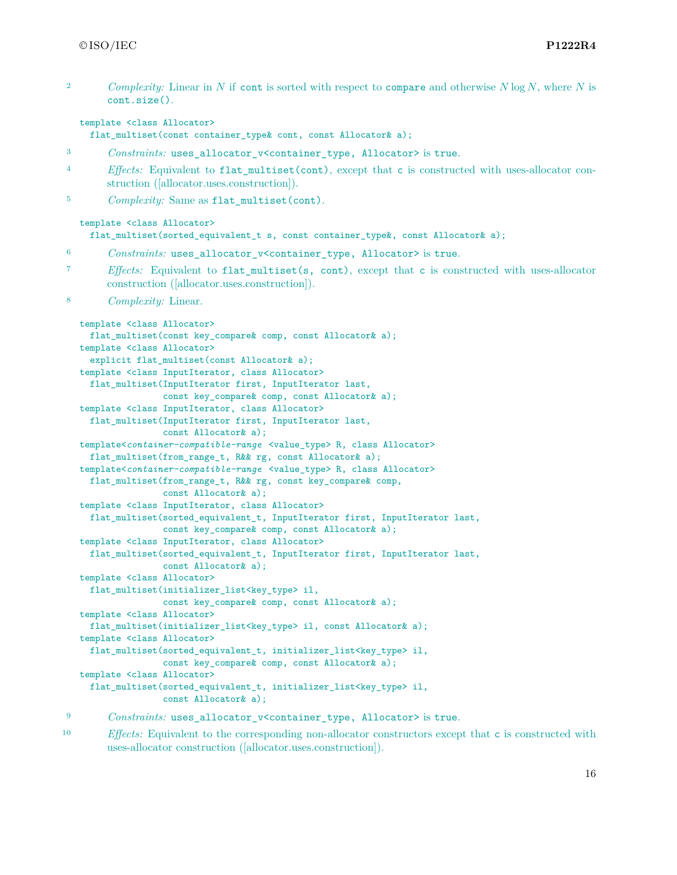| $\overline{2}$ | Complexity: Linear in N if cont is sorted with respect to compare and otherwise $N \log N$ , where N is<br>cont.size().                                                                                                                                                                                                                                                                                                                                                                                                                                                                                                                                                                                                                                                                                                                                                                                                                                                                                                                                                                                                                                                                       |
|----------------|-----------------------------------------------------------------------------------------------------------------------------------------------------------------------------------------------------------------------------------------------------------------------------------------------------------------------------------------------------------------------------------------------------------------------------------------------------------------------------------------------------------------------------------------------------------------------------------------------------------------------------------------------------------------------------------------------------------------------------------------------------------------------------------------------------------------------------------------------------------------------------------------------------------------------------------------------------------------------------------------------------------------------------------------------------------------------------------------------------------------------------------------------------------------------------------------------|
|                | template <class allocator=""><br/>flat_multiset(const container_type&amp; cont, const Allocator&amp; a);</class>                                                                                                                                                                                                                                                                                                                                                                                                                                                                                                                                                                                                                                                                                                                                                                                                                                                                                                                                                                                                                                                                              |
| 3              | Constraints: uses_allocator_v <container_type, allocator=""> is true.</container_type,>                                                                                                                                                                                                                                                                                                                                                                                                                                                                                                                                                                                                                                                                                                                                                                                                                                                                                                                                                                                                                                                                                                       |
| 4              | Effects: Equivalent to flat_multiset(cont), except that c is constructed with uses-allocator con-<br>struction ([allocator.uses.construction]).                                                                                                                                                                                                                                                                                                                                                                                                                                                                                                                                                                                                                                                                                                                                                                                                                                                                                                                                                                                                                                               |
| 5              | <i>Complexity:</i> Same as flat_multiset(cont).                                                                                                                                                                                                                                                                                                                                                                                                                                                                                                                                                                                                                                                                                                                                                                                                                                                                                                                                                                                                                                                                                                                                               |
|                | template <class allocator=""><br/>flat_multiset(sorted_equivalent_t s, const container_type&amp;, const Allocator&amp; a);</class>                                                                                                                                                                                                                                                                                                                                                                                                                                                                                                                                                                                                                                                                                                                                                                                                                                                                                                                                                                                                                                                            |
| 6              | <i>Constraints:</i> uses_allocator_v <container_type, allocator=""> is true.</container_type,>                                                                                                                                                                                                                                                                                                                                                                                                                                                                                                                                                                                                                                                                                                                                                                                                                                                                                                                                                                                                                                                                                                |
| 7              | Effects: Equivalent to flat_multiset(s, cont), except that c is constructed with uses-allocator<br>construction ([allocator.uses.construction]).                                                                                                                                                                                                                                                                                                                                                                                                                                                                                                                                                                                                                                                                                                                                                                                                                                                                                                                                                                                                                                              |
| 8              | <i>Complexity:</i> Linear.                                                                                                                                                                                                                                                                                                                                                                                                                                                                                                                                                                                                                                                                                                                                                                                                                                                                                                                                                                                                                                                                                                                                                                    |
|                | template <class allocator=""><br/>flat_multiset(const key_compare&amp; comp, const Allocator&amp; a);<br/>template <class allocator=""><br/>explicit flat_multiset(const Allocator&amp; a);<br/>template <class allocator="" class="" inputiterator,=""><br/>flat_multiset(InputIterator first, InputIterator last,<br/>const key_compare&amp; comp, const Allocator&amp; a);<br/>template <class allocator="" class="" inputiterator,=""><br/>flat_multiset(InputIterator first, InputIterator last,<br/>const Allocator &amp; a);<br/>template<container-compatible-range <value_type=""> R, class Allocator&gt;<br/>flat_multiset(from_range_t, R&amp;&amp; rg, const Allocator&amp; a);<br/>template<container-compatible-range <value_type=""> R, class Allocator&gt;<br/>flat_multiset(from_range_t, R&amp;&amp; rg, const key_compare&amp; comp,<br/>const Allocator&amp; a);<br/>template <class allocator="" class="" inputiterator,=""><br/>flat_multiset(sorted_equivalent_t, InputIterator first, InputIterator last,<br/>const key_compare&amp; comp, const Allocator&amp; a);</class></container-compatible-range></container-compatible-range></class></class></class></class> |
|                | template <class allocator="" class="" inputiterator,=""><br/>flat_multiset(sorted_equivalent_t, InputIterator first, InputIterator last,<br/>const Allocator &amp; a);<br/>template <class allocator=""><br/>flat_multiset(initializer_list<key_type> il,<br/>const key_compare&amp; comp, const Allocator&amp; a);</key_type></class></class>                                                                                                                                                                                                                                                                                                                                                                                                                                                                                                                                                                                                                                                                                                                                                                                                                                                |
|                | template <class allocator=""><br/>flat_multiset(initializer_list<key_type> il, const Allocator&amp; a);<br/>template <class allocator=""><br/>flat_multiset(sorted_equivalent_t, initializer_list<key_type> il,<br/>const key_compare&amp; comp, const Allocator&amp; a);<br/>template <class allocator=""><br/>flat_multiset(sorted_equivalent_t, initializer_list<key_type> il,</key_type></class></key_type></class></key_type></class>                                                                                                                                                                                                                                                                                                                                                                                                                                                                                                                                                                                                                                                                                                                                                    |
| 9              | const Allocator & a);<br>Constraints: uses_allocator_v <container_type, allocator=""> is true.</container_type,>                                                                                                                                                                                                                                                                                                                                                                                                                                                                                                                                                                                                                                                                                                                                                                                                                                                                                                                                                                                                                                                                              |

<sup>10</sup> *Effects:* Equivalent to the corresponding non-allocator constructors except that **c** is constructed with uses-allocator construction ([allocator.uses.construction]).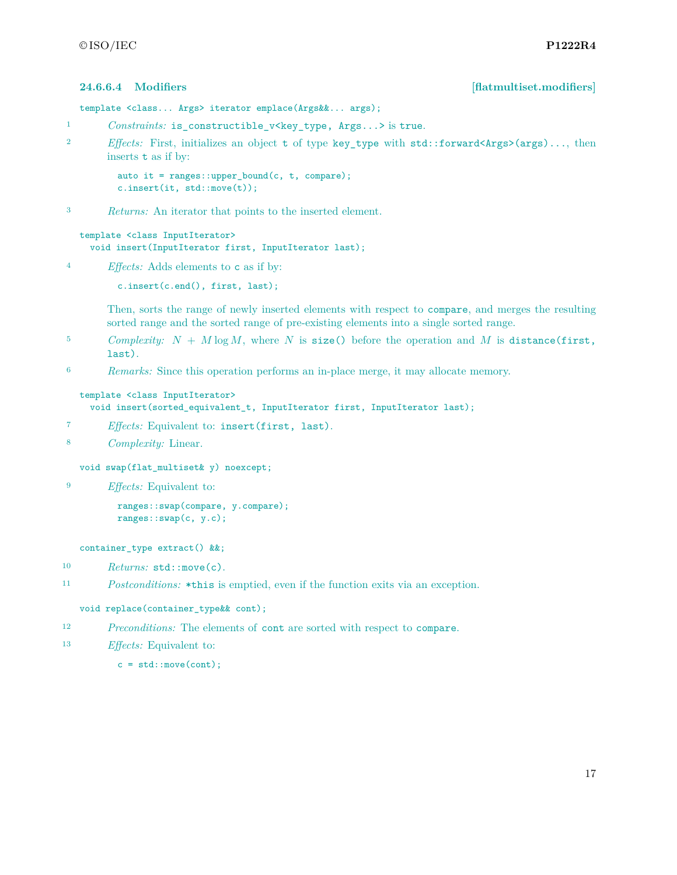```
24.6.6.4 Modifiers [flatmultiset.modifiers]
```

```
template <class... Args> iterator emplace(Args&&... args);
```
- 1 *Constraints:* is\_constructible\_v<key\_type, Args...> is true.
- <sup>2</sup> *Effects:* First, initializes an object t of type key type with std::forward<Args>(args)..., then inserts t as if by:

```
auto it = ranges::upper_bound(c, t, compare);
c.insert(it, std::move(t));
```
<sup>3</sup> *Returns:* An iterator that points to the inserted element.

```
template <class InputIterator>
 void insert(InputIterator first, InputIterator last);
```
<sup>4</sup> *Effects:* Adds elements to c as if by:

```
c.insert(c.end(), first, last);
```
Then, sorts the range of newly inserted elements with respect to compare, and merges the resulting sorted range and the sorted range of pre-existing elements into a single sorted range.

- <sup>5</sup> *Complexity: N* + *M* log *M*, where *N* is size() before the operation and *M* is distance(first, last).
- <sup>6</sup> *Remarks:* Since this operation performs an in-place merge, it may allocate memory.

```
template <class InputIterator>
```

```
void insert(sorted_equivalent_t, InputIterator first, InputIterator last);
```
- <sup>7</sup> *Effects:* Equivalent to: insert(first, last).
- <sup>8</sup> *Complexity:* Linear.

```
void swap(flat_multiset& y) noexcept;
```
<sup>9</sup> *Effects:* Equivalent to:

```
ranges::swap(compare, y.compare);
ranges::swap(c, y.c);
```
container\_type extract() &&;

- 10 Returns: std::move(c).
- <sup>11</sup> *Postconditions:* \*this is emptied, even if the function exits via an exception.

```
void replace(container_type&& cont);
```
- <sup>12</sup> *Preconditions:* The elements of cont are sorted with respect to compare.
- <sup>13</sup> *Effects:* Equivalent to:

```
c = std::move(cont);
```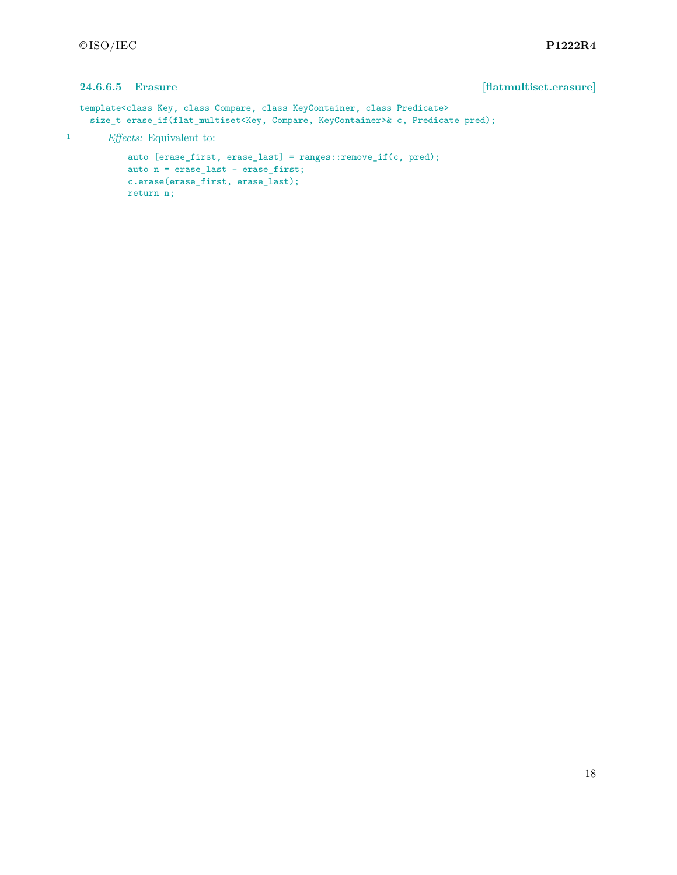### **24.6.6.5 Erasure [flatmultiset.erasure]**

```
template<class Key, class Compare, class KeyContainer, class Predicate>
    size_t erase_if(flat_multiset<Key, Compare, KeyContainer>& c, Predicate pred);
1 Effects: Equivalent to:
```

```
auto [erase_first, erase_last] = ranges::remove_if(c, pred);
auto n = erase_last - erase_first;
c.erase(erase_first, erase_last);
return n;
```